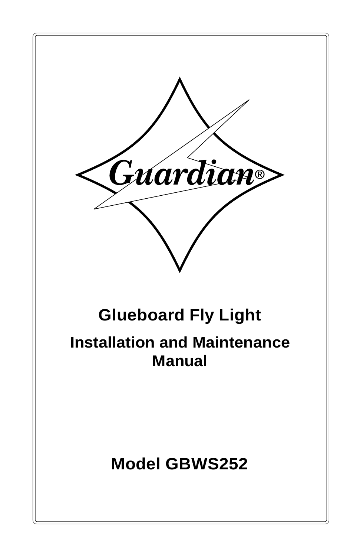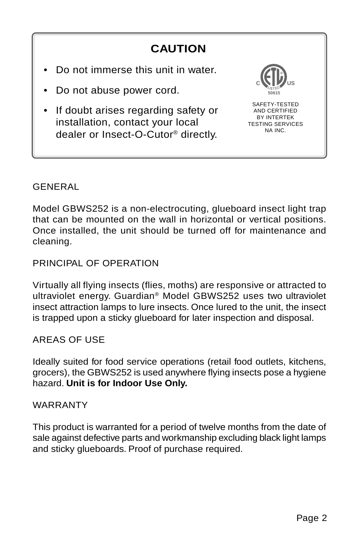#### **CAUTION** • Do not immerse this unit in water. • Do not abuse power cord. • If doubt arises regarding safety or installation, contact your local dealer or Insect-O-Cutor® directly. **C WILL US 50615 ®** SAFETY-TESTED AND CERTIFIED BY INTERTEK TESTING SERVICES NA INC.

### GENERAL

Model GBWS252 is a non-electrocuting, glueboard insect light trap that can be mounted on the wall in horizontal or vertical positions. Once installed, the unit should be turned off for maintenance and cleaning.

PRINCIPAL OF OPERATION

Virtually all flying insects (flies, moths) are responsive or attracted to ultraviolet energy. Guardian® Model GBWS252 uses two ultraviolet insect attraction lamps to lure insects. Once lured to the unit, the insect is trapped upon a sticky glueboard for later inspection and disposal.

## AREAS OF USE

Ideally suited for food service operations (retail food outlets, kitchens, grocers), the GBWS252 is used anywhere flying insects pose a hygiene hazard. **Unit is for Indoor Use Only.**

#### WARRANTY

This product is warranted for a period of twelve months from the date of sale against defective parts and workmanship excluding black light lamps and sticky glueboards. Proof of purchase required.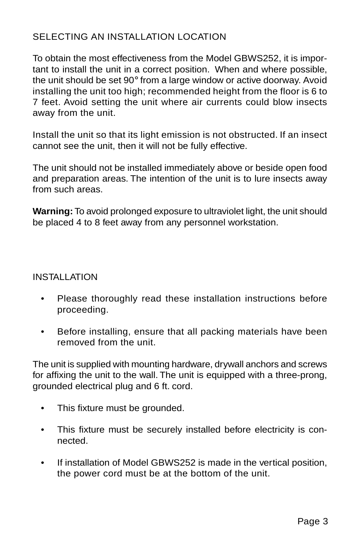## SELECTING AN INSTALLATION LOCATION

To obtain the most effectiveness from the Model GBWS252, it is important to install the unit in a correct position. When and where possible, the unit should be set 90° from a large window or active doorway. Avoid installing the unit too high; recommended height from the floor is 6 to 7 feet. Avoid setting the unit where air currents could blow insects away from the unit.

Install the unit so that its light emission is not obstructed. If an insect cannot see the unit, then it will not be fully effective.

The unit should not be installed immediately above or beside open food and preparation areas. The intention of the unit is to lure insects away from such areas.

**Warning:** To avoid prolonged exposure to ultraviolet light, the unit should be placed 4 to 8 feet away from any personnel workstation.

#### INSTALLATION

- Please thoroughly read these installation instructions before proceeding.
- Before installing, ensure that all packing materials have been removed from the unit.

The unit is supplied with mounting hardware, drywall anchors and screws for affixing the unit to the wall. The unit is equipped with a three-prong, grounded electrical plug and 6 ft. cord.

- This fixture must be grounded.
- This fixture must be securely installed before electricity is connected.
- If installation of Model GBWS252 is made in the vertical position, the power cord must be at the bottom of the unit.